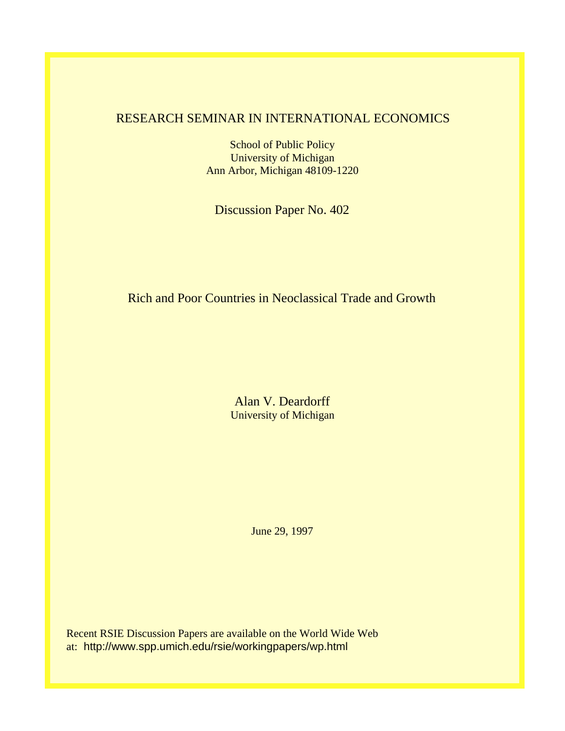## RESEARCH SEMINAR IN INTERNATIONAL ECONOMICS

School of Public Policy University of Michigan Ann Arbor, Michigan 48109-1220

Discussion Paper No. 402

Rich and Poor Countries in Neoclassical Trade and Growth

Alan V. Deardorff University of Michigan

June 29, 1997

Recent RSIE Discussion Papers are available on the World Wide Web at: http://www.spp.umich.edu/rsie/workingpapers/wp.html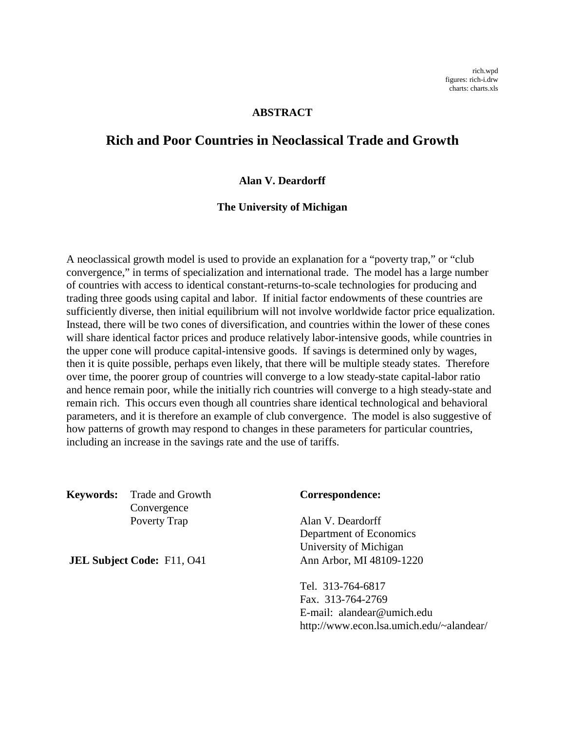#### **ABSTRACT**

## **Rich and Poor Countries in Neoclassical Trade and Growth**

#### **Alan V. Deardorff**

#### **The University of Michigan**

A neoclassical growth model is used to provide an explanation for a "poverty trap," or "club convergence," in terms of specialization and international trade. The model has a large number of countries with access to identical constant-returns-to-scale technologies for producing and trading three goods using capital and labor. If initial factor endowments of these countries are sufficiently diverse, then initial equilibrium will not involve worldwide factor price equalization. Instead, there will be two cones of diversification, and countries within the lower of these cones will share identical factor prices and produce relatively labor-intensive goods, while countries in the upper cone will produce capital-intensive goods. If savings is determined only by wages, then it is quite possible, perhaps even likely, that there will be multiple steady states. Therefore over time, the poorer group of countries will converge to a low steady-state capital-labor ratio and hence remain poor, while the initially rich countries will converge to a high steady-state and remain rich. This occurs even though all countries share identical technological and behavioral parameters, and it is therefore an example of club convergence. The model is also suggestive of how patterns of growth may respond to changes in these parameters for particular countries, including an increase in the savings rate and the use of tariffs.

**Keywords:** Trade and Growth **Correspondence:** Convergence Poverty Trap Alan V. Deardorff

Department of Economics University of Michigan **JEL Subject Code:** F11, O41 Ann Arbor, MI 48109-1220

> Tel. 313-764-6817 Fax. 313-764-2769 E-mail: alandear@umich.edu http://www.econ.lsa.umich.edu/~alandear/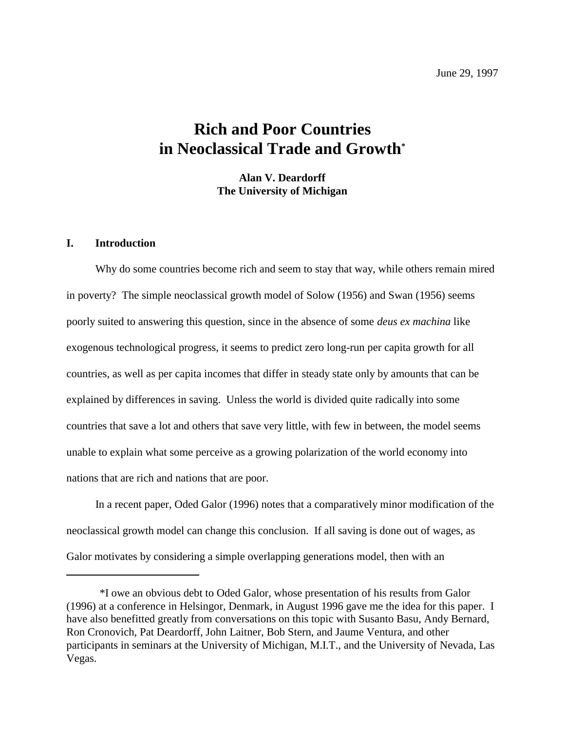June 29, 1997

# **Rich and Poor Countries in Neoclassical Trade and Growth\***

**Alan V. Deardorff The University of Michigan**

### **I. Introduction**

Why do some countries become rich and seem to stay that way, while others remain mired in poverty? The simple neoclassical growth model of Solow (1956) and Swan (1956) seems poorly suited to answering this question, since in the absence of some *deus ex machina* like exogenous technological progress, it seems to predict zero long-run per capita growth for all countries, as well as per capita incomes that differ in steady state only by amounts that can be explained by differences in saving. Unless the world is divided quite radically into some countries that save a lot and others that save very little, with few in between, the model seems unable to explain what some perceive as a growing polarization of the world economy into nations that are rich and nations that are poor.

In a recent paper, Oded Galor (1996) notes that a comparatively minor modification of the neoclassical growth model can change this conclusion. If all saving is done out of wages, as Galor motivates by considering a simple overlapping generations model, then with an

<sup>\*</sup>I owe an obvious debt to Oded Galor, whose presentation of his results from Galor (1996) at a conference in Helsingor, Denmark, in August 1996 gave me the idea for this paper. I have also benefitted greatly from conversations on this topic with Susanto Basu, Andy Bernard, Ron Cronovich, Pat Deardorff, John Laitner, Bob Stern, and Jaume Ventura, and other participants in seminars at the University of Michigan, M.I.T., and the University of Nevada, Las Vegas.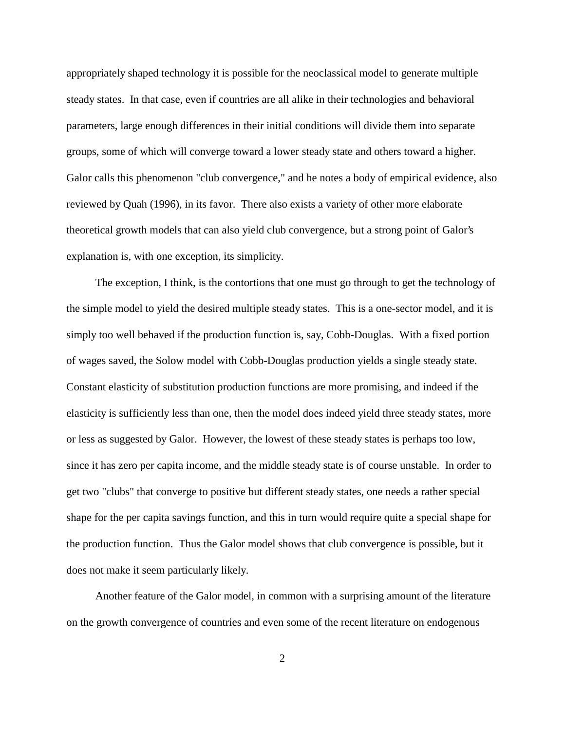appropriately shaped technology it is possible for the neoclassical model to generate multiple steady states. In that case, even if countries are all alike in their technologies and behavioral parameters, large enough differences in their initial conditions will divide them into separate groups, some of which will converge toward a lower steady state and others toward a higher. Galor calls this phenomenon "club convergence," and he notes a body of empirical evidence, also reviewed by Quah (1996), in its favor. There also exists a variety of other more elaborate theoretical growth models that can also yield club convergence, but a strong point of Galor's explanation is, with one exception, its simplicity.

The exception, I think, is the contortions that one must go through to get the technology of the simple model to yield the desired multiple steady states. This is a one-sector model, and it is simply too well behaved if the production function is, say, Cobb-Douglas. With a fixed portion of wages saved, the Solow model with Cobb-Douglas production yields a single steady state. Constant elasticity of substitution production functions are more promising, and indeed if the elasticity is sufficiently less than one, then the model does indeed yield three steady states, more or less as suggested by Galor. However, the lowest of these steady states is perhaps too low, since it has zero per capita income, and the middle steady state is of course unstable. In order to get two "clubs" that converge to positive but different steady states, one needs a rather special shape for the per capita savings function, and this in turn would require quite a special shape for the production function. Thus the Galor model shows that club convergence is possible, but it does not make it seem particularly likely.

Another feature of the Galor model, in common with a surprising amount of the literature on the growth convergence of countries and even some of the recent literature on endogenous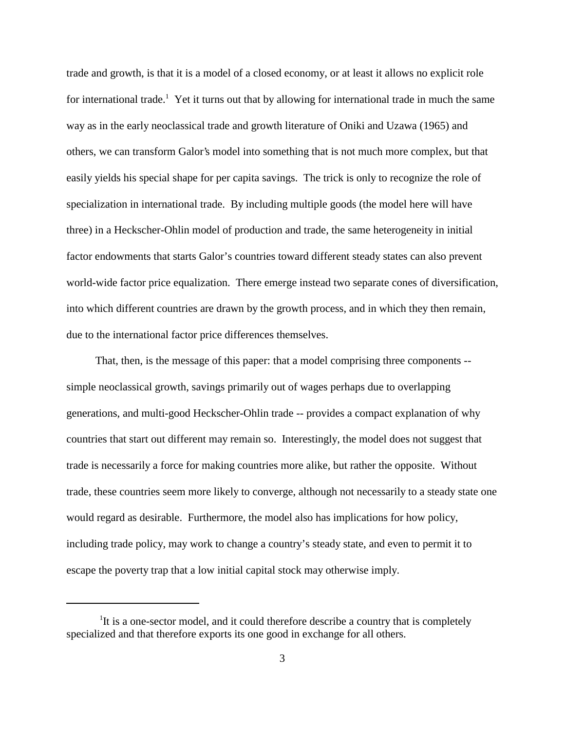trade and growth, is that it is a model of a closed economy, or at least it allows no explicit role for international trade.<sup>1</sup> Yet it turns out that by allowing for international trade in much the same way as in the early neoclassical trade and growth literature of Oniki and Uzawa (1965) and others, we can transform Galor's model into something that is not much more complex, but that easily yields his special shape for per capita savings. The trick is only to recognize the role of specialization in international trade. By including multiple goods (the model here will have three) in a Heckscher-Ohlin model of production and trade, the same heterogeneity in initial factor endowments that starts Galor's countries toward different steady states can also prevent world-wide factor price equalization. There emerge instead two separate cones of diversification, into which different countries are drawn by the growth process, and in which they then remain, due to the international factor price differences themselves.

That, then, is the message of this paper: that a model comprising three components - simple neoclassical growth, savings primarily out of wages perhaps due to overlapping generations, and multi-good Heckscher-Ohlin trade -- provides a compact explanation of why countries that start out different may remain so. Interestingly, the model does not suggest that trade is necessarily a force for making countries more alike, but rather the opposite. Without trade, these countries seem more likely to converge, although not necessarily to a steady state one would regard as desirable. Furthermore, the model also has implications for how policy, including trade policy, may work to change a country's steady state, and even to permit it to escape the poverty trap that a low initial capital stock may otherwise imply.

<sup>&</sup>lt;sup>1</sup>It is a one-sector model, and it could therefore describe a country that is completely specialized and that therefore exports its one good in exchange for all others.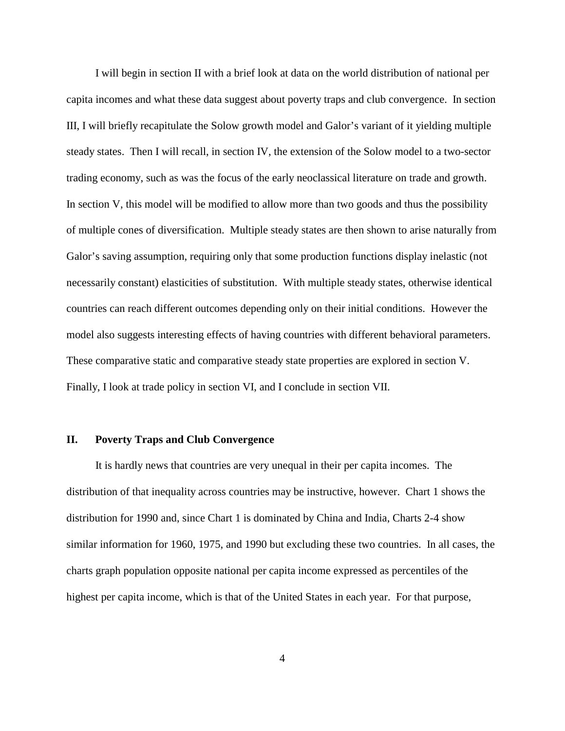I will begin in section II with a brief look at data on the world distribution of national per capita incomes and what these data suggest about poverty traps and club convergence. In section III, I will briefly recapitulate the Solow growth model and Galor's variant of it yielding multiple steady states. Then I will recall, in section IV, the extension of the Solow model to a two-sector trading economy, such as was the focus of the early neoclassical literature on trade and growth. In section V, this model will be modified to allow more than two goods and thus the possibility of multiple cones of diversification. Multiple steady states are then shown to arise naturally from Galor's saving assumption, requiring only that some production functions display inelastic (not necessarily constant) elasticities of substitution. With multiple steady states, otherwise identical countries can reach different outcomes depending only on their initial conditions. However the model also suggests interesting effects of having countries with different behavioral parameters. These comparative static and comparative steady state properties are explored in section V. Finally, I look at trade policy in section VI, and I conclude in section VII.

#### **II. Poverty Traps and Club Convergence**

It is hardly news that countries are very unequal in their per capita incomes. The distribution of that inequality across countries may be instructive, however. Chart 1 shows the distribution for 1990 and, since Chart 1 is dominated by China and India, Charts 2-4 show similar information for 1960, 1975, and 1990 but excluding these two countries. In all cases, the charts graph population opposite national per capita income expressed as percentiles of the highest per capita income, which is that of the United States in each year. For that purpose,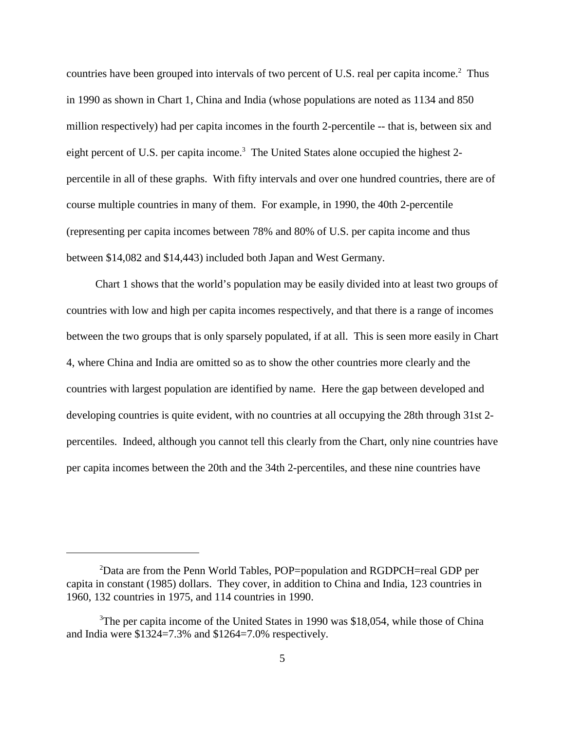countries have been grouped into intervals of two percent of U.S. real per capita income.<sup>2</sup> Thus in 1990 as shown in Chart 1, China and India (whose populations are noted as 1134 and 850 million respectively) had per capita incomes in the fourth 2-percentile -- that is, between six and eight percent of U.S. per capita income.<sup>3</sup> The United States alone occupied the highest 2percentile in all of these graphs. With fifty intervals and over one hundred countries, there are of course multiple countries in many of them. For example, in 1990, the 40th 2-percentile (representing per capita incomes between 78% and 80% of U.S. per capita income and thus between \$14,082 and \$14,443) included both Japan and West Germany.

Chart 1 shows that the world's population may be easily divided into at least two groups of countries with low and high per capita incomes respectively, and that there is a range of incomes between the two groups that is only sparsely populated, if at all. This is seen more easily in Chart 4, where China and India are omitted so as to show the other countries more clearly and the countries with largest population are identified by name.Here the gap between developed and developing countries is quite evident, with no countries at all occupying the 28th through 31st 2 percentiles. Indeed, although you cannot tell this clearly from the Chart, only nine countries have per capita incomes between the 20th and the 34th 2-percentiles, and these nine countries have

 $^{2}$ Data are from the Penn World Tables, POP=population and RGDPCH=real GDP per capita in constant (1985) dollars. They cover, in addition to China and India, 123 countries in 1960, 132 countries in 1975, and 114 countries in 1990.

<sup>&</sup>lt;sup>3</sup>The per capita income of the United States in 1990 was \$18,054, while those of China and India were \$1324=7.3% and \$1264=7.0% respectively.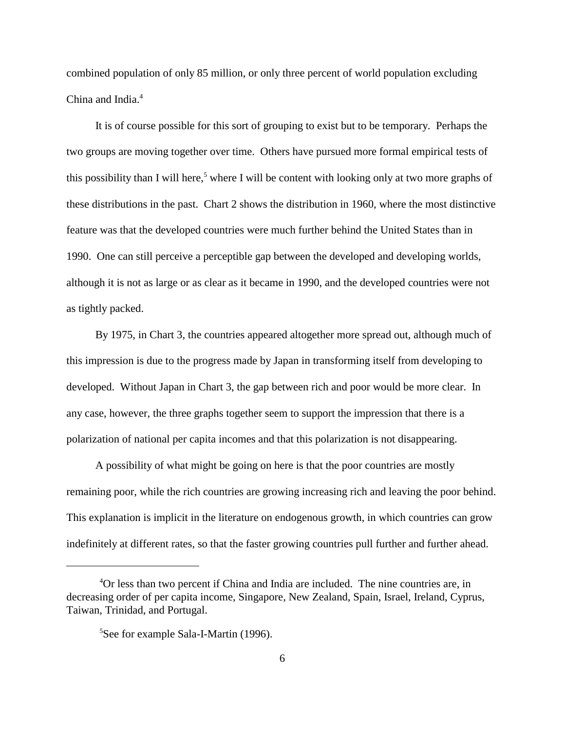combined population of only 85 million, or only three percent of world population excluding China and India.<sup>4</sup>

It is of course possible for this sort of grouping to exist but to be temporary. Perhaps the two groups are moving together over time. Others have pursued more formal empirical tests of this possibility than I will here,<sup>5</sup> where I will be content with looking only at two more graphs of these distributions in the past. Chart 2 shows the distribution in 1960, where the most distinctive feature was that the developed countries were much further behind the United States than in 1990. One can still perceive a perceptible gap between the developed and developing worlds, although it is not as large or as clear as it became in 1990, and the developed countries were not as tightly packed.

By 1975, in Chart 3, the countries appeared altogether more spread out, although much of this impression is due to the progress made by Japan in transforming itself from developing to developed. Without Japan in Chart 3, the gap between rich and poor would be more clear. In any case, however, the three graphs together seem to support the impression that there is a polarization of national per capita incomes and that this polarization is not disappearing.

A possibility of what might be going on here is that the poor countries are mostly remaining poor, while the rich countries are growing increasing rich and leaving the poor behind. This explanation is implicit in the literature on endogenous growth, in which countries can grow indefinitely at different rates, so that the faster growing countries pull further and further ahead.

 ${}^{4}$ Or less than two percent if China and India are included. The nine countries are, in decreasing order of per capita income, Singapore, New Zealand, Spain, Israel, Ireland, Cyprus, Taiwan, Trinidad, and Portugal.

<sup>&</sup>lt;sup>5</sup>See for example Sala-I-Martin (1996).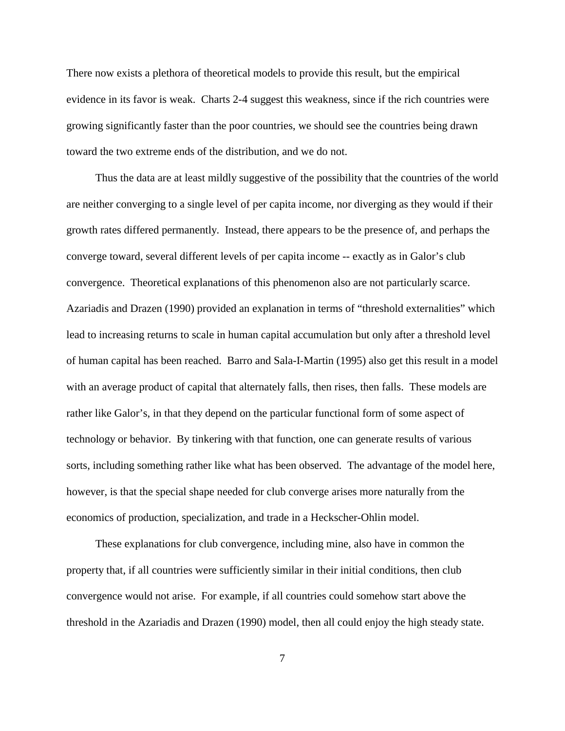There now exists a plethora of theoretical models to provide this result, but the empirical evidence in its favor is weak. Charts 2-4 suggest this weakness, since if the rich countries were growing significantly faster than the poor countries, we should see the countries being drawn toward the two extreme ends of the distribution, and we do not.

Thus the data are at least mildly suggestive of the possibility that the countries of the world are neither converging to a single level of per capita income, nor diverging as they would if their growth rates differed permanently. Instead, there appears to be the presence of, and perhaps the converge toward, several different levels of per capita income -- exactly as in Galor's club convergence. Theoretical explanations of this phenomenon also are not particularly scarce. Azariadis and Drazen (1990) provided an explanation in terms of "threshold externalities" which lead to increasing returns to scale in human capital accumulation but only after a threshold level of human capital has been reached. Barro and Sala-I-Martin (1995) also get this result in a model with an average product of capital that alternately falls, then rises, then falls. These models are rather like Galor's, in that they depend on the particular functional form of some aspect of technology or behavior. By tinkering with that function, one can generate results of various sorts, including something rather like what has been observed. The advantage of the model here, however, is that the special shape needed for club converge arises more naturally from the economics of production, specialization, and trade in a Heckscher-Ohlin model.

These explanations for club convergence, including mine, also have in common the property that, if all countries were sufficiently similar in their initial conditions, then club convergence would not arise. For example, if all countries could somehow start above the threshold in the Azariadis and Drazen (1990) model, then all could enjoy the high steady state.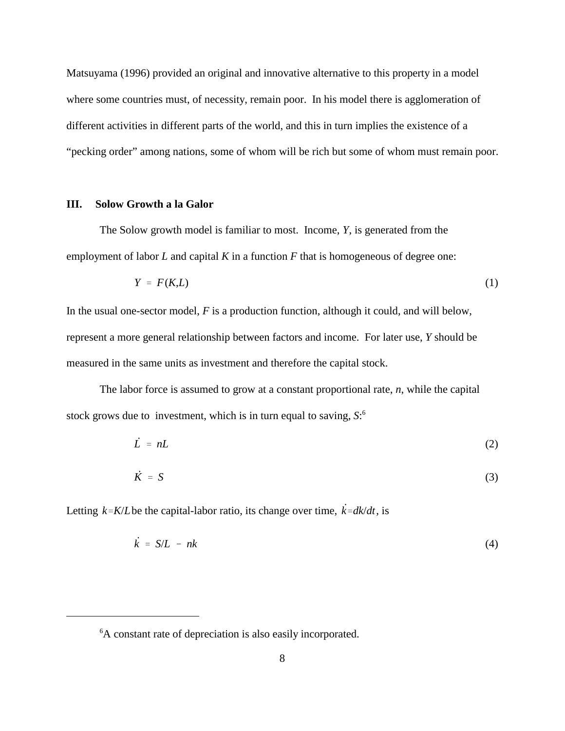Matsuyama (1996) provided an original and innovative alternative to this property in a model where some countries must, of necessity, remain poor. In his model there is agglomeration of different activities in different parts of the world, and this in turn implies the existence of a "pecking order" among nations, some of whom will be rich but some of whom must remain poor.

#### **III. Solow Growth a la Galor**

The Solow growth model is familiar to most. Income, *Y*, is generated from the employment of labor *L* and capital *K* in a function *F* that is homogeneous of degree one:

$$
Y = F(K,L) \tag{1}
$$

In the usual one-sector model, *F* is a production function, although it could, and will below, represent a more general relationship between factors and income. For later use, *Y* should be measured in the same units as investment and therefore the capital stock.

The labor force is assumed to grow at a constant proportional rate, *n*, while the capital stock grows due to investment, which is in turn equal to saving, *S*: 6

$$
\dot{L} = nL \tag{2}
$$

$$
\dot{K} = S \tag{3}
$$

Letting  $k = K/L$  be the capital-labor ratio, its change over time,  $\dot{k} = dk/dt$ , is

$$
\dot{k} = S/L - nk \tag{4}
$$

<sup>&</sup>lt;sup>6</sup>A constant rate of depreciation is also easily incorporated.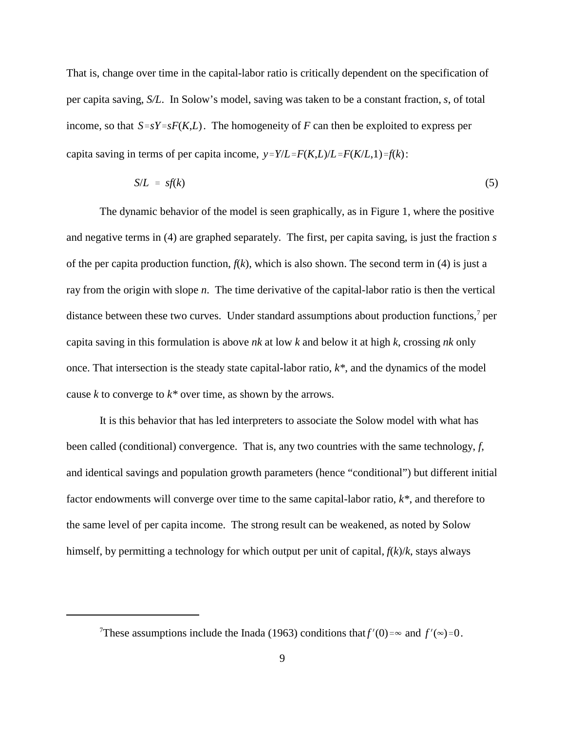income, so that  $S=sY=sF(K,L)$ . The homogeneity of *F* can then be exploited to express per *y*= $Y/L = F(K/L)L = F(K/L)$  *f*(*k*): That is, change over time in the capital-labor ratio is critically dependent on the specification of per capita saving, *S/L*. In Solow's model, saving was taken to be a constant fraction, *s*, of total

$$
S/L = s f(k) \tag{5}
$$

The dynamic behavior of the model is seen graphically, as in Figure 1, where the positive and negative terms in (4) are graphed separately. The first, per capita saving, is just the fraction *s* of the per capita production function, *f*(*k*), which is also shown. The second term in (4) is just a ray from the origin with slope *n*. The time derivative of the capital-labor ratio is then the vertical distance between these two curves. Under standard assumptions about production functions, $<sup>7</sup>$  per</sup> capita saving in this formulation is above *nk* at low *k* and below it at high *k*, crossing *nk* only once. That intersection is the steady state capital-labor ratio, *k\**, and the dynamics of the model cause *k* to converge to *k\** over time, as shown by the arrows.

It is this behavior that has led interpreters to associate the Solow model with what has been called (conditional) convergence. That is, any two countries with the same technology, *f*, and identical savings and population growth parameters (hence "conditional") but different initial factor endowments will converge over time to the same capital-labor ratio, *k\**, and therefore to the same level of per capita income. The strong result can be weakened, as noted by Solow himself, by permitting a technology for which output per unit of capital, *f*(*k*)/*k*, stays always

<sup>&</sup>lt;sup>7</sup>These assumptions include the Inada (1963) conditions that  $f'(0) = \infty$  and  $f'(\infty) = 0$ .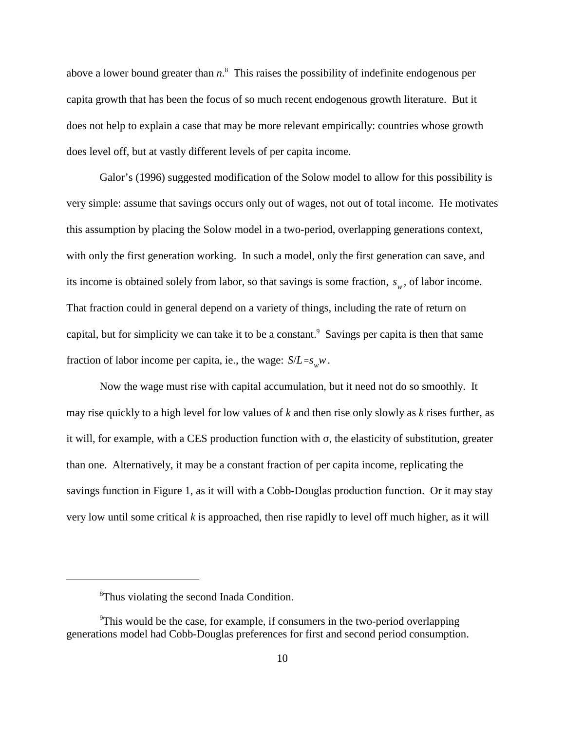above a lower bound greater than  $n$ <sup>8</sup>. This raises the possibility of indefinite endogenous per capita growth that has been the focus of so much recent endogenous growth literature. But it does not help to explain a case that may be more relevant empirically: countries whose growth does level off, but at vastly different levels of per capita income.

its income is obtained solely from labor, so that savings is some fraction,  $s_w$ , of labor income. fraction of labor income per capita, ie., the wage:  $S/L = s_w w$ . Galor's (1996) suggested modification of the Solow model to allow for this possibility is very simple: assume that savings occurs only out of wages, not out of total income. He motivates this assumption by placing the Solow model in a two-period, overlapping generations context, with only the first generation working. In such a model, only the first generation can save, and That fraction could in general depend on a variety of things, including the rate of return on capital, but for simplicity we can take it to be a constant.<sup>9</sup> Savings per capita is then that same

Now the wage must rise with capital accumulation, but it need not do so smoothly. It may rise quickly to a high level for low values of *k* and then rise only slowly as *k* rises further, as it will, for example, with a CES production function with  $\sigma$ , the elasticity of substitution, greater than one. Alternatively, it may be a constant fraction of per capita income, replicating the savings function in Figure 1, as it will with a Cobb-Douglas production function. Or it may stay very low until some critical *k* is approached, then rise rapidly to level off much higher, as it will

<sup>&</sup>lt;sup>8</sup>Thus violating the second Inada Condition.

<sup>&</sup>lt;sup>9</sup>This would be the case, for example, if consumers in the two-period overlapping generations model had Cobb-Douglas preferences for first and second period consumption.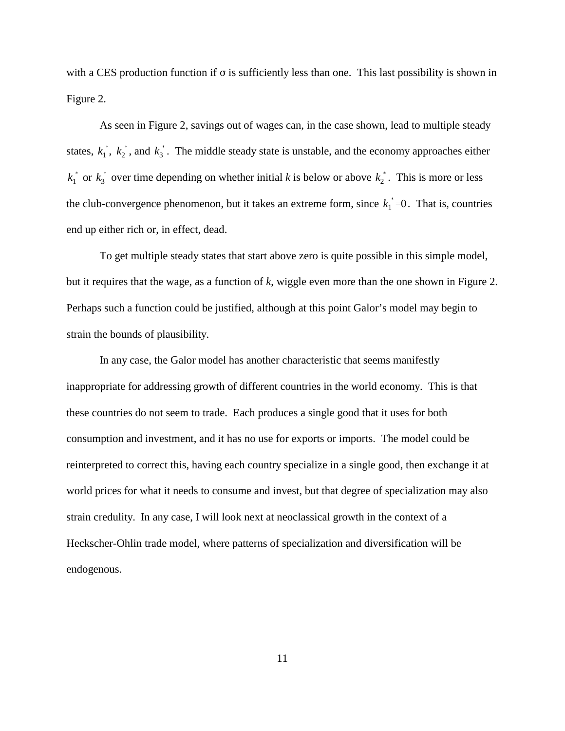with a CES production function if  $\sigma$  is sufficiently less than one. This last possibility is shown in Figure 2.

states,  $k_1^*$ ,  $k_2^*$ , and  $k_3^*$ . The middle steady state is unstable, and the economy approaches either  $k_1^*$  or  $k_3^*$  over time depending on whether initial *k* is below or above  $k_2^*$ . This is more or less the club-convergence phenomenon, but it takes an extreme form, since  $k_1^*$ =0. That is, countries As seen in Figure 2, savings out of wages can, in the case shown, lead to multiple steady end up either rich or, in effect, dead.

To get multiple steady states that start above zero is quite possible in this simple model, but it requires that the wage, as a function of *k*, wiggle even more than the one shown in Figure 2. Perhaps such a function could be justified, although at this point Galor's model may begin to strain the bounds of plausibility.

In any case, the Galor model has another characteristic that seems manifestly inappropriate for addressing growth of different countries in the world economy. This is that these countries do not seem to trade. Each produces a single good that it uses for both consumption and investment, and it has no use for exports or imports. The model could be reinterpreted to correct this, having each country specialize in a single good, then exchange it at world prices for what it needs to consume and invest, but that degree of specialization may also strain credulity. In any case, I will look next at neoclassical growth in the context of a Heckscher-Ohlin trade model, where patterns of specialization and diversification will be endogenous.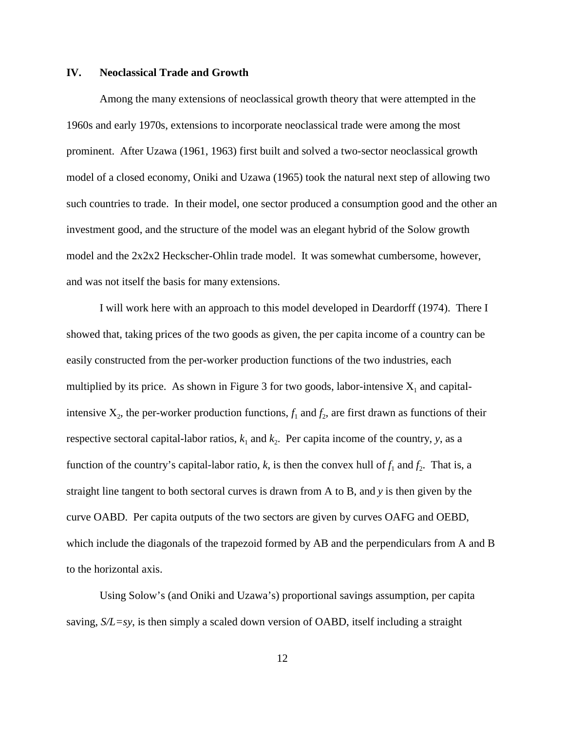#### **IV. Neoclassical Trade and Growth**

Among the many extensions of neoclassical growth theory that were attempted in the 1960s and early 1970s, extensions to incorporate neoclassical trade were among the most prominent. After Uzawa (1961, 1963) first built and solved a two-sector neoclassical growth model of a closed economy, Oniki and Uzawa (1965) took the natural next step of allowing two such countries to trade. In their model, one sector produced a consumption good and the other an investment good, and the structure of the model was an elegant hybrid of the Solow growth model and the 2x2x2 Heckscher-Ohlin trade model. It was somewhat cumbersome, however, and was not itself the basis for many extensions.

I will work here with an approach to this model developed in Deardorff (1974). There I showed that, taking prices of the two goods as given, the per capita income of a country can be easily constructed from the per-worker production functions of the two industries, each multiplied by its price. As shown in Figure 3 for two goods, labor-intensive  $X_1$  and capitalintensive  $X_2$ , the per-worker production functions,  $f_1$  and  $f_2$ , are first drawn as functions of their respective sectoral capital-labor ratios,  $k_1$  and  $k_2$ . Per capita income of the country, *y*, as a function of the country's capital-labor ratio, *k*, is then the convex hull of  $f_1$  and  $f_2$ . That is, a straight line tangent to both sectoral curves is drawn from A to B, and *y* is then given by the curve OABD. Per capita outputs of the two sectors are given by curves OAFG and OEBD, which include the diagonals of the trapezoid formed by AB and the perpendiculars from A and B to the horizontal axis.

Using Solow's (and Oniki and Uzawa's) proportional savings assumption, per capita saving, *S/L=sy*, is then simply a scaled down version of OABD, itself including a straight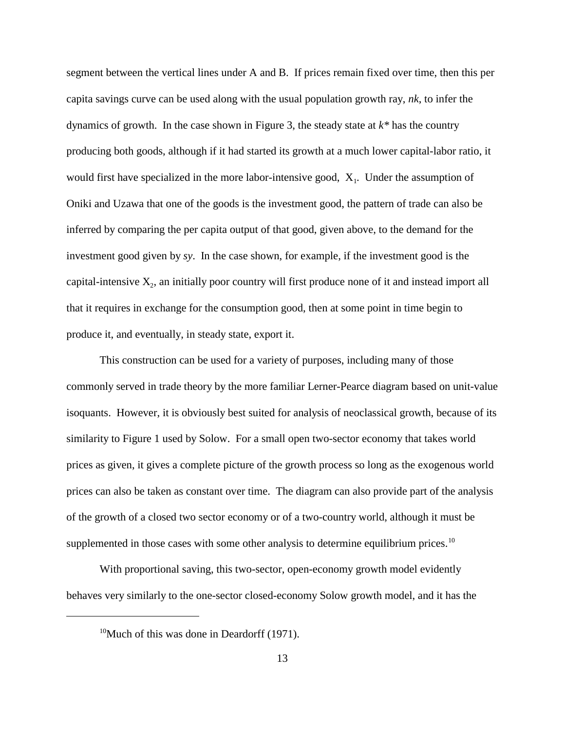segment between the vertical lines under A and B. If prices remain fixed over time, then this per capita savings curve can be used along with the usual population growth ray, *nk*, to infer the dynamics of growth. In the case shown in Figure 3, the steady state at *k\** has the country producing both goods, although if it had started its growth at a much lower capital-labor ratio, it would first have specialized in the more labor-intensive good,  $X_1$ . Under the assumption of Oniki and Uzawa that one of the goods is the investment good, the pattern of trade can also be inferred by comparing the per capita output of that good, given above, to the demand for the investment good given by *sy*. In the case shown, for example, if the investment good is the capital-intensive  $X_2$ , an initially poor country will first produce none of it and instead import all that it requires in exchange for the consumption good, then at some point in time begin to produce it, and eventually, in steady state, export it.

This construction can be used for a variety of purposes, including many of those commonly served in trade theory by the more familiar Lerner-Pearce diagram based on unit-value isoquants. However, it is obviously best suited for analysis of neoclassical growth, because of its similarity to Figure 1 used by Solow. For a small open two-sector economy that takes world prices as given, it gives a complete picture of the growth process so long as the exogenous world prices can also be taken as constant over time. The diagram can also provide part of the analysis of the growth of a closed two sector economy or of a two-country world, although it must be supplemented in those cases with some other analysis to determine equilibrium prices.<sup>10</sup>

With proportional saving, this two-sector, open-economy growth model evidently behaves very similarly to the one-sector closed-economy Solow growth model, and it has the

<sup>&</sup>lt;sup>10</sup>Much of this was done in Deardorff  $(1971)$ .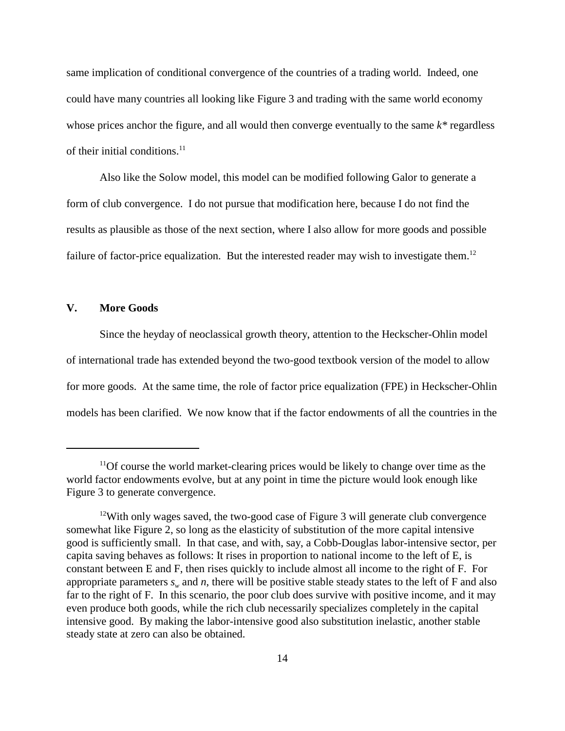same implication of conditional convergence of the countries of a trading world. Indeed, one could have many countries all looking like Figure 3 and trading with the same world economy whose prices anchor the figure, and all would then converge eventually to the same *k\** regardless of their initial conditions.<sup>11</sup>

Also like the Solow model, this model can be modified following Galor to generate a form of club convergence. I do not pursue that modification here, because I do not find the results as plausible as those of the next section, where I also allow for more goods and possible failure of factor-price equalization. But the interested reader may wish to investigate them.<sup>12</sup>

#### **V. More Goods**

Since the heyday of neoclassical growth theory, attention to the Heckscher-Ohlin model of international trade has extended beyond the two-good textbook version of the model to allow for more goods. At the same time, the role of factor price equalization (FPE) in Heckscher-Ohlin models has been clarified. We now know that if the factor endowments of all the countries in the

 $11$ Of course the world market-clearing prices would be likely to change over time as the world factor endowments evolve, but at any point in time the picture would look enough like Figure 3 to generate convergence.

<sup>&</sup>lt;sup>12</sup>With only wages saved, the two-good case of Figure 3 will generate club convergence somewhat like Figure 2, so long as the elasticity of substitution of the more capital intensive good is sufficiently small. In that case, and with, say, a Cobb-Douglas labor-intensive sector, per capita saving behaves as follows: It rises in proportion to national income to the left of E, is constant between E and F, then rises quickly to include almost all income to the right of F. For appropriate parameters  $s_w$  and *n*, there will be positive stable steady states to the left of F and also far to the right of F. In this scenario, the poor club does survive with positive income, and it may even produce both goods, while the rich club necessarily specializes completely in the capital intensive good. By making the labor-intensive good also substitution inelastic, another stable steady state at zero can also be obtained.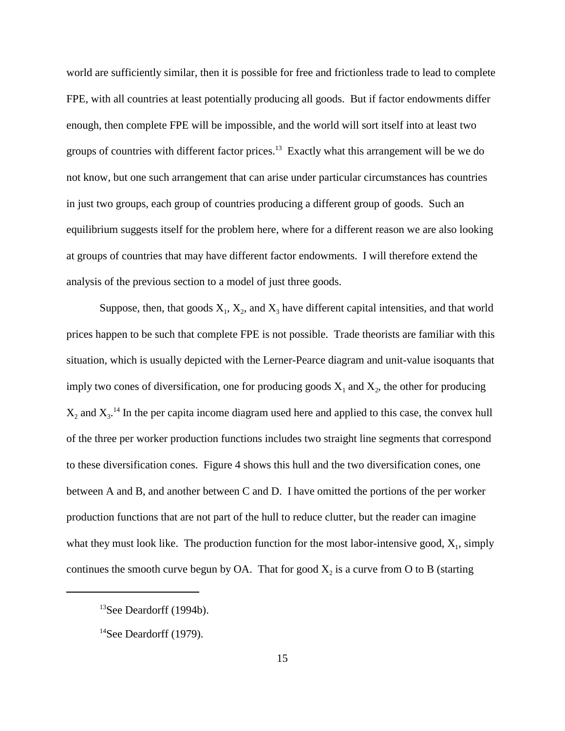world are sufficiently similar, then it is possible for free and frictionless trade to lead to complete FPE, with all countries at least potentially producing all goods. But if factor endowments differ enough, then complete FPE will be impossible, and the world will sort itself into at least two groups of countries with different factor prices.<sup>13</sup> Exactly what this arrangement will be we do not know, but one such arrangement that can arise under particular circumstances has countries in just two groups, each group of countries producing a different group of goods. Such an equilibrium suggests itself for the problem here, where for a different reason we are also looking at groups of countries that may have different factor endowments. I will therefore extend the analysis of the previous section to a model of just three goods.

Suppose, then, that goods  $X_1, X_2$ , and  $X_3$  have different capital intensities, and that world prices happen to be such that complete FPE is not possible. Trade theorists are familiar with this situation, which is usually depicted with the Lerner-Pearce diagram and unit-value isoquants that imply two cones of diversification, one for producing goods  $X_1$  and  $X_2$ , the other for producing  $X_2$  and  $X_3$ .<sup>14</sup> In the per capita income diagram used here and applied to this case, the convex hull of the three per worker production functions includes two straight line segments that correspond to these diversification cones. Figure 4 shows this hull and the two diversification cones, one between A and B, and another between C and D. I have omitted the portions of the per worker production functions that are not part of the hull to reduce clutter, but the reader can imagine what they must look like. The production function for the most labor-intensive good,  $X_1$ , simply continues the smooth curve begun by OA. That for good  $X_2$  is a curve from O to B (starting

 $13$ See Deardorff (1994b).

 $14$ See Deardorff (1979).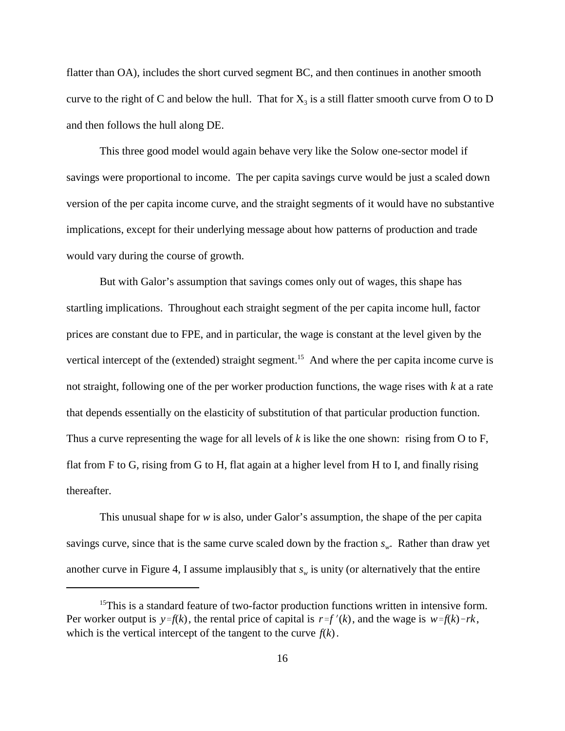flatter than OA), includes the short curved segment BC, and then continues in another smooth curve to the right of C and below the hull. That for  $X_3$  is a still flatter smooth curve from O to D and then follows the hull along DE.

This three good model would again behave very like the Solow one-sector model if savings were proportional to income. The per capita savings curve would be just a scaled down version of the per capita income curve, and the straight segments of it would have no substantive implications, except for their underlying message about how patterns of production and trade would vary during the course of growth.

But with Galor's assumption that savings comes only out of wages, this shape has startling implications. Throughout each straight segment of the per capita income hull, factor prices are constant due to FPE, and in particular, the wage is constant at the level given by the vertical intercept of the (extended) straight segment.<sup>15</sup> And where the per capita income curve is not straight, following one of the per worker production functions, the wage rises with *k* at a rate that depends essentially on the elasticity of substitution of that particular production function. Thus a curve representing the wage for all levels of *k* is like the one shown: rising from O to F, flat from F to G, rising from G to H, flat again at a higher level from H to I, and finally rising thereafter.

This unusual shape for *w* is also, under Galor's assumption, the shape of the per capita savings curve, since that is the same curve scaled down by the fraction  $s_{w}$ . Rather than draw yet another curve in Figure 4, I assume implausibly that  $s_w$  is unity (or alternatively that the entire

Per worker output is  $y = f(k)$ , the rental price of capital is  $r = f'(k)$ , and the wage is  $w = f(k) - rk$ , which is the vertical intercept of the tangent to the curve  $f(k)$ .  $15$ This is a standard feature of two-factor production functions written in intensive form.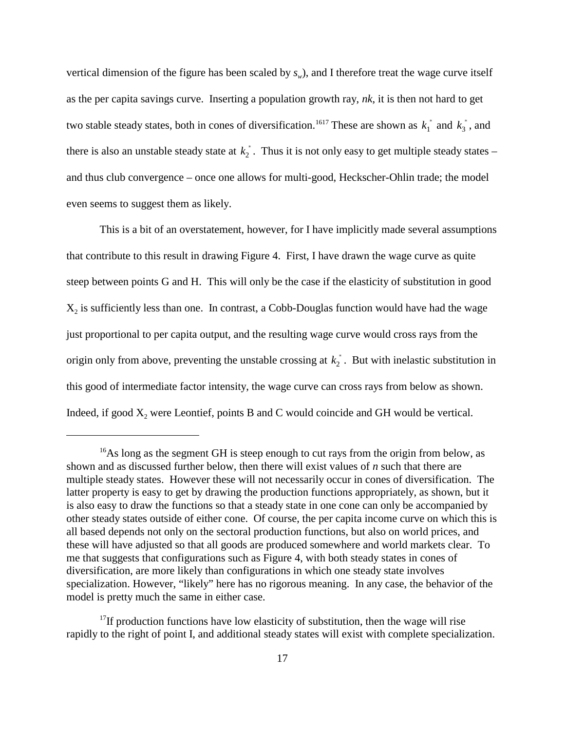two stable steady states, both in cones of diversification.<sup>1617</sup> These are shown as  $k_1^*$  and  $k_3^*$ , and there is also an unstable steady state at  $k_2^*$ . Thus it is not only easy to get multiple steady states – vertical dimension of the figure has been scaled by  $s_w$ ), and I therefore treat the wage curve itself as the per capita savings curve. Inserting a population growth ray, *nk*, it is then not hard to get and thus club convergence – once one allows for multi-good, Heckscher-Ohlin trade; the model even seems to suggest them as likely.

origin only from above, preventing the unstable crossing at  $k_2^*$ . But with inelastic substitution in This is a bit of an overstatement, however, for I have implicitly made several assumptions that contribute to this result in drawing Figure 4. First, I have drawn the wage curve as quite steep between points G and H. This will only be the case if the elasticity of substitution in good  $X<sub>2</sub>$  is sufficiently less than one. In contrast, a Cobb-Douglas function would have had the wage just proportional to per capita output, and the resulting wage curve would cross rays from the this good of intermediate factor intensity, the wage curve can cross rays from below as shown. Indeed, if good  $X_2$  were Leontief, points B and C would coincide and GH would be vertical.

 $^{16}$ As long as the segment GH is steep enough to cut rays from the origin from below, as shown and as discussed further below, then there will exist values of *n* such that there are multiple steady states. However these will not necessarily occur in cones of diversification. The latter property is easy to get by drawing the production functions appropriately, as shown, but it is also easy to draw the functions so that a steady state in one cone can only be accompanied by other steady states outside of either cone. Of course, the per capita income curve on which this is all based depends not only on the sectoral production functions, but also on world prices, and these will have adjusted so that all goods are produced somewhere and world markets clear. To me that suggests that configurations such as Figure 4, with both steady states in cones of diversification, are more likely than configurations in which one steady state involves specialization. However, "likely" here has no rigorous meaning. In any case, the behavior of the model is pretty much the same in either case.

 $17$ If production functions have low elasticity of substitution, then the wage will rise rapidly to the right of point I, and additional steady states will exist with complete specialization.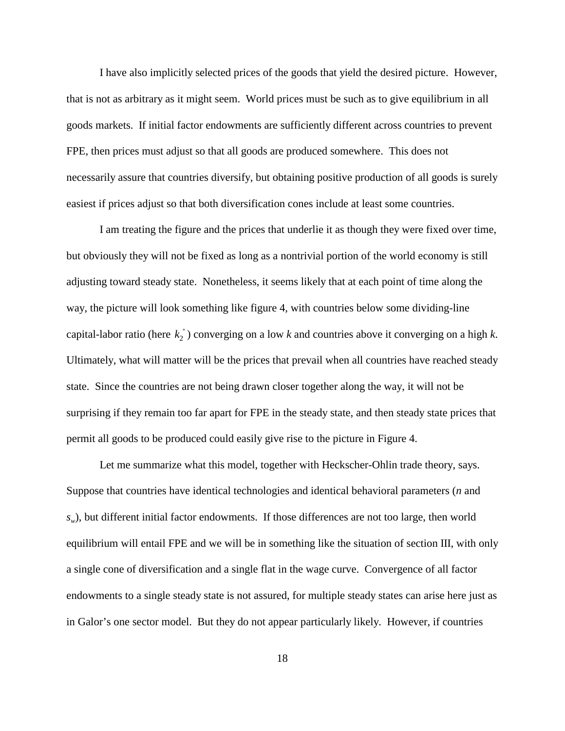I have also implicitly selected prices of the goods that yield the desired picture. However, that is not as arbitrary as it might seem. World prices must be such as to give equilibrium in all goods markets. If initial factor endowments are sufficiently different across countries to prevent FPE, then prices must adjust so that all goods are produced somewhere. This does not necessarily assure that countries diversify, but obtaining positive production of all goods is surely easiest if prices adjust so that both diversification cones include at least some countries.

capital-labor ratio (here  $k_2^*$ ) converging on a low *k* and countries above it converging on a high *k*. I am treating the figure and the prices that underlie it as though they were fixed over time, but obviously they will not be fixed as long as a nontrivial portion of the world economy is still adjusting toward steady state. Nonetheless, it seems likely that at each point of time along the way, the picture will look something like figure 4, with countries below some dividing-line Ultimately, what will matter will be the prices that prevail when all countries have reached steady state. Since the countries are not being drawn closer together along the way, it will not be surprising if they remain too far apart for FPE in the steady state, and then steady state prices that permit all goods to be produced could easily give rise to the picture in Figure 4.

Let me summarize what this model, together with Heckscher-Ohlin trade theory, says. Suppose that countries have identical technologies and identical behavioral parameters (*n* and  $s_w$ ), but different initial factor endowments. If those differences are not too large, then world equilibrium will entail FPE and we will be in something like the situation of section III, with only a single cone of diversification and a single flat in the wage curve. Convergence of all factor endowments to a single steady state is not assured, for multiple steady states can arise here just as in Galor's one sector model. But they do not appear particularly likely. However, if countries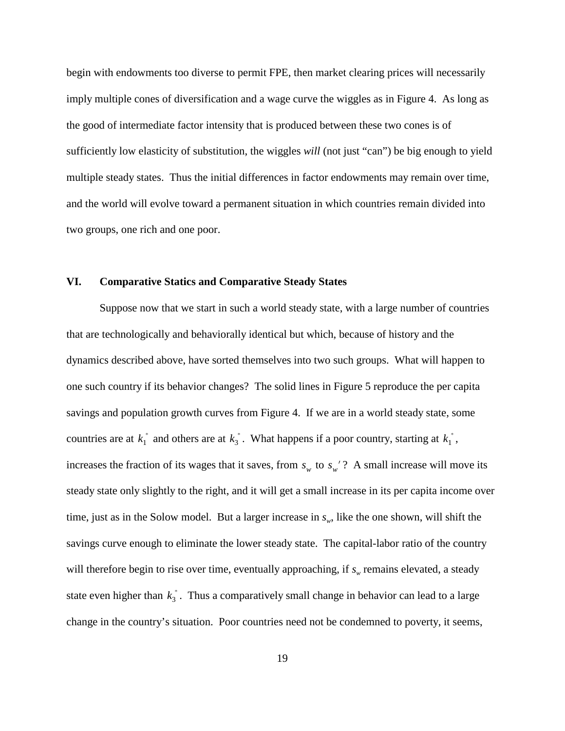begin with endowments too diverse to permit FPE, then market clearing prices will necessarily imply multiple cones of diversification and a wage curve the wiggles as in Figure 4. As long as the good of intermediate factor intensity that is produced between these two cones is of sufficiently low elasticity of substitution, the wiggles *will* (not just "can") be big enough to yield multiple steady states. Thus the initial differences in factor endowments may remain over time, and the world will evolve toward a permanent situation in which countries remain divided into two groups, one rich and one poor.

#### **VI. Comparative Statics and Comparative Steady States**

countries are at  $k_1^*$  and others are at  $k_3^*$ . What happens if a poor country, starting at  $k_1^*$ , increases the fraction of its wages that it saves, from  $s_w$  to  $s_w$ ? A small increase will move its state even higher than  $k_3^*$ . Thus a comparatively small change in behavior can lead to a large Suppose now that we start in such a world steady state, with a large number of countries that are technologically and behaviorally identical but which, because of history and the dynamics described above, have sorted themselves into two such groups. What will happen to one such country if its behavior changes? The solid lines in Figure 5 reproduce the per capita savings and population growth curves from Figure 4. If we are in a world steady state, some steady state only slightly to the right, and it will get a small increase in its per capita income over time, just as in the Solow model. But a larger increase in  $s_w$ , like the one shown, will shift the savings curve enough to eliminate the lower steady state. The capital-labor ratio of the country will therefore begin to rise over time, eventually approaching, if  $s_w$  remains elevated, a steady change in the country's situation. Poor countries need not be condemned to poverty, it seems,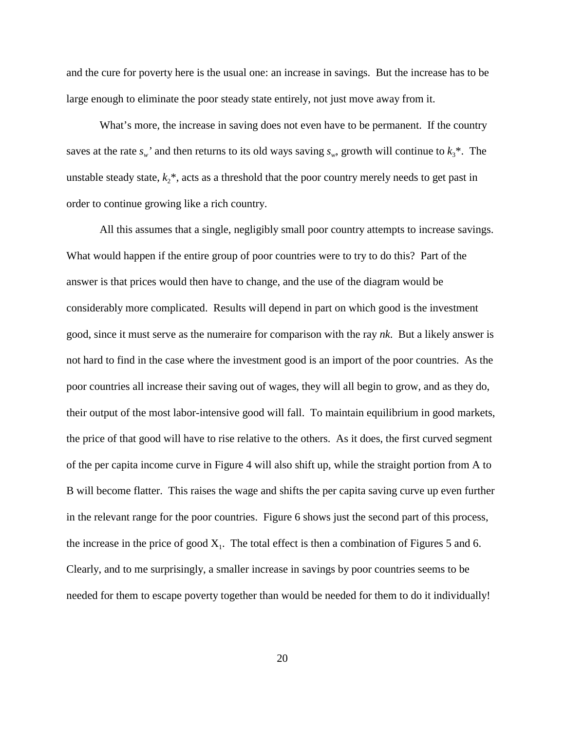and the cure for poverty here is the usual one: an increase in savings. But the increase has to be large enough to eliminate the poor steady state entirely, not just move away from it.

What's more, the increase in saving does not even have to be permanent. If the country saves at the rate  $s_w$  and then returns to its old ways saving  $s_w$ , growth will continue to  $k_3^*$ . The unstable steady state,  $k_2^*$ , acts as a threshold that the poor country merely needs to get past in order to continue growing like a rich country.

All this assumes that a single, negligibly small poor country attempts to increase savings. What would happen if the entire group of poor countries were to try to do this? Part of the answer is that prices would then have to change, and the use of the diagram would be considerably more complicated. Results will depend in part on which good is the investment good, since it must serve as the numeraire for comparison with the ray *nk*. But a likely answer is not hard to find in the case where the investment good is an import of the poor countries. As the poor countries all increase their saving out of wages, they will all begin to grow, and as they do, their output of the most labor-intensive good will fall. To maintain equilibrium in good markets, the price of that good will have to rise relative to the others. As it does, the first curved segment of the per capita income curve in Figure 4 will also shift up, while the straight portion from A to B will become flatter. This raises the wage and shifts the per capita saving curve up even further in the relevant range for the poor countries. Figure 6 shows just the second part of this process, the increase in the price of good  $X_1$ . The total effect is then a combination of Figures 5 and 6. Clearly, and to me surprisingly, a smaller increase in savings by poor countries seems to be needed for them to escape poverty together than would be needed for them to do it individually!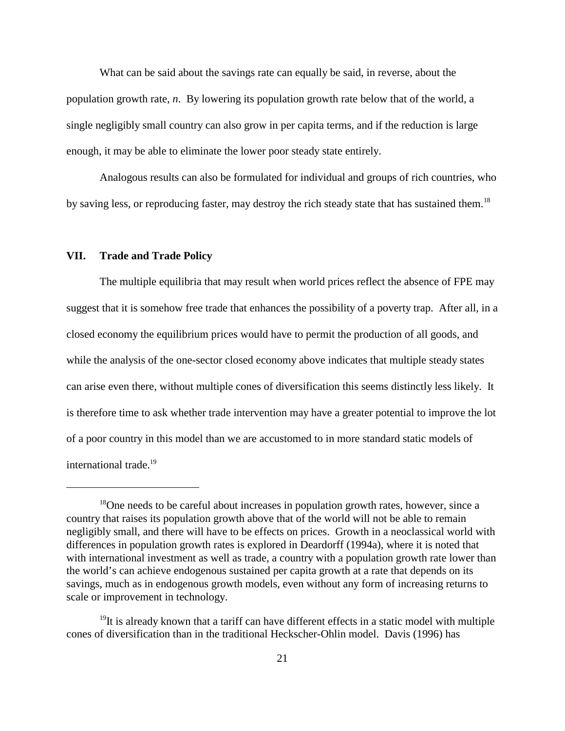What can be said about the savings rate can equally be said, in reverse, about the population growth rate, *n*. By lowering its population growth rate below that of the world, a single negligibly small country can also grow in per capita terms, and if the reduction is large enough, it may be able to eliminate the lower poor steady state entirely.

Analogous results can also be formulated for individual and groups of rich countries, who by saving less, or reproducing faster, may destroy the rich steady state that has sustained them.<sup>18</sup>

#### **VII. Trade and Trade Policy**

The multiple equilibria that may result when world prices reflect the absence of FPE may suggest that it is somehow free trade that enhances the possibility of a poverty trap. After all, in a closed economy the equilibrium prices would have to permit the production of all goods, and while the analysis of the one-sector closed economy above indicates that multiple steady states can arise even there, without multiple cones of diversification this seems distinctly less likely. It is therefore time to ask whether trade intervention may have a greater potential to improve the lot of a poor country in this model than we are accustomed to in more standard static models of international trade.<sup>19</sup>

 $^{18}$ One needs to be careful about increases in population growth rates, however, since a country that raises its population growth above that of the world will not be able to remain negligibly small, and there will have to be effects on prices. Growth in a neoclassical world with differences in population growth rates is explored in Deardorff (1994a), where it is noted that with international investment as well as trade, a country with a population growth rate lower than the world's can achieve endogenous sustained per capita growth at a rate that depends on its savings, much as in endogenous growth models, even without any form of increasing returns to scale or improvement in technology.

 $19$ It is already known that a tariff can have different effects in a static model with multiple cones of diversification than in the traditional Heckscher-Ohlin model. Davis (1996) has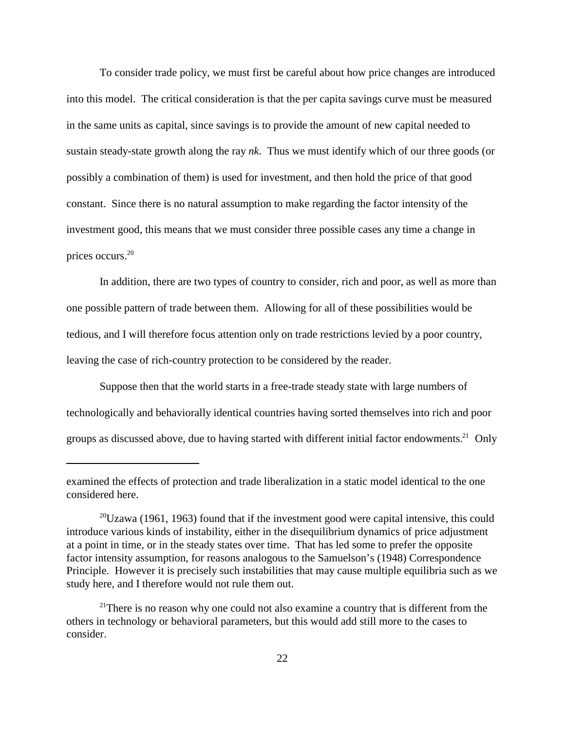To consider trade policy, we must first be careful about how price changes are introduced into this model. The critical consideration is that the per capita savings curve must be measured in the same units as capital, since savings is to provide the amount of new capital needed to sustain steady-state growth along the ray *nk*. Thus we must identify which of our three goods (or possibly a combination of them) is used for investment, and then hold the price of that good constant. Since there is no natural assumption to make regarding the factor intensity of the investment good, this means that we must consider three possible cases any time a change in prices occurs.20

In addition, there are two types of country to consider, rich and poor, as well as more than one possible pattern of trade between them. Allowing for all of these possibilities would be tedious, and I will therefore focus attention only on trade restrictions levied by a poor country, leaving the case of rich-country protection to be considered by the reader.

Suppose then that the world starts in a free-trade steady state with large numbers of technologically and behaviorally identical countries having sorted themselves into rich and poor groups as discussed above, due to having started with different initial factor endowments.<sup>21</sup> Only

examined the effects of protection and trade liberalization in a static model identical to the one considered here.

 $^{20}Uzawa$  (1961, 1963) found that if the investment good were capital intensive, this could introduce various kinds of instability, either in the disequilibrium dynamics of price adjustment at a point in time, or in the steady states over time. That has led some to prefer the opposite factor intensity assumption, for reasons analogous to the Samuelson's (1948) Correspondence Principle. However it is precisely such instabilities that may cause multiple equilibria such as we study here, and I therefore would not rule them out.

<sup>&</sup>lt;sup>21</sup>There is no reason why one could not also examine a country that is different from the others in technology or behavioral parameters, but this would add still more to the cases to consider.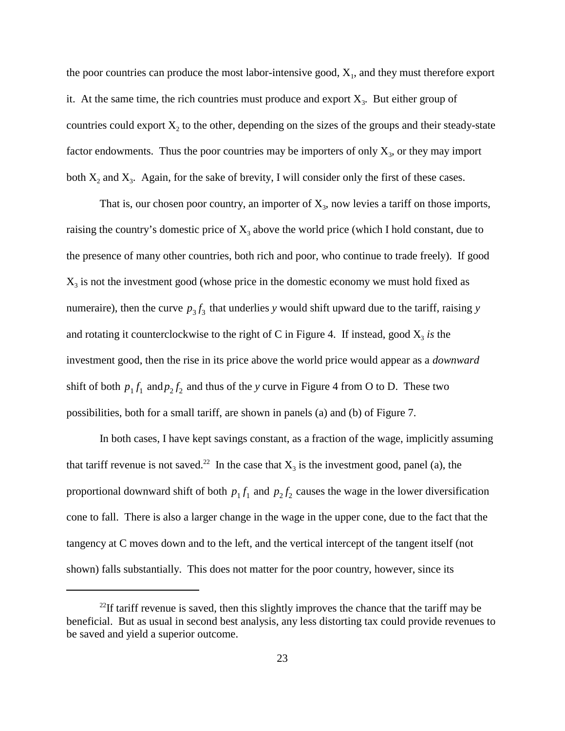the poor countries can produce the most labor-intensive good,  $X_1$ , and they must therefore export it. At the same time, the rich countries must produce and export  $X_3$ . But either group of countries could export  $X_2$  to the other, depending on the sizes of the groups and their steady-state factor endowments. Thus the poor countries may be importers of only  $X_3$ , or they may import both  $X_2$  and  $X_3$ . Again, for the sake of brevity, I will consider only the first of these cases.

numeraire), then the curve  $p_3 f_3$  that underlies *y* would shift upward due to the tariff, raising *y* shift of both  $p_1 f_1$  and  $p_2 f_2$  and thus of the *y* curve in Figure 4 from O to D. These two That is, our chosen poor country, an importer of  $X_3$ , now levies a tariff on those imports, raising the country's domestic price of  $X_3$  above the world price (which I hold constant, due to the presence of many other countries, both rich and poor, who continue to trade freely). If good  $X<sub>3</sub>$  is not the investment good (whose price in the domestic economy we must hold fixed as and rotating it counterclockwise to the right of C in Figure 4. If instead, good  $X_3$  *is* the investment good, then the rise in its price above the world price would appear as a *downward* possibilities, both for a small tariff, are shown in panels (a) and (b) of Figure 7.

proportional downward shift of both  $p_1 f_1$  and  $p_2 f_2$  causes the wage in the lower diversification In both cases, I have kept savings constant, as a fraction of the wage, implicitly assuming that tariff revenue is not saved.<sup>22</sup> In the case that  $X_3$  is the investment good, panel (a), the cone to fall. There is also a larger change in the wage in the upper cone, due to the fact that the tangency at C moves down and to the left, and the vertical intercept of the tangent itself (not shown) falls substantially. This does not matter for the poor country, however, since its

 $22$ If tariff revenue is saved, then this slightly improves the chance that the tariff may be beneficial. But as usual in second best analysis, any less distorting tax could provide revenues to be saved and yield a superior outcome.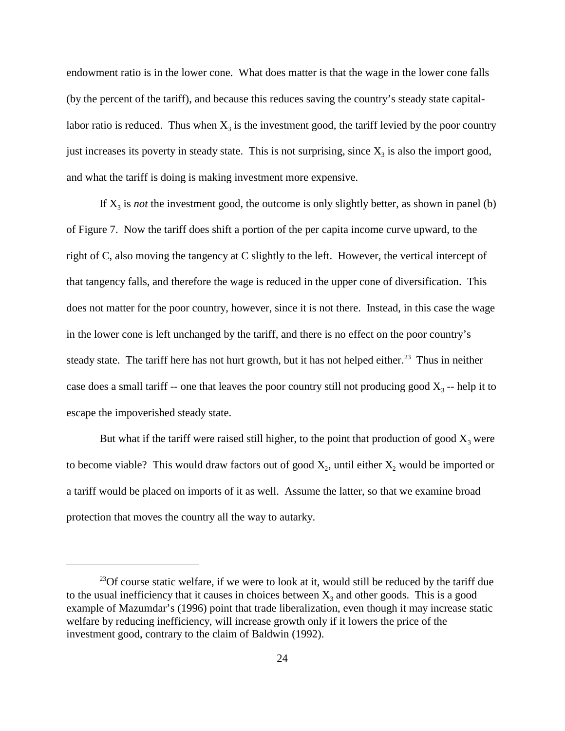endowment ratio is in the lower cone. What does matter is that the wage in the lower cone falls (by the percent of the tariff), and because this reduces saving the country's steady state capitallabor ratio is reduced. Thus when  $X_3$  is the investment good, the tariff levied by the poor country just increases its poverty in steady state. This is not surprising, since  $X_3$  is also the import good, and what the tariff is doing is making investment more expensive.

If  $X_3$  is *not* the investment good, the outcome is only slightly better, as shown in panel (b) of Figure 7. Now the tariff does shift a portion of the per capita income curve upward, to the right of C, also moving the tangency at C slightly to the left. However, the vertical intercept of that tangency falls, and therefore the wage is reduced in the upper cone of diversification. This does not matter for the poor country, however, since it is not there. Instead, in this case the wage in the lower cone is left unchanged by the tariff, and there is no effect on the poor country's steady state. The tariff here has not hurt growth, but it has not helped either.<sup>23</sup> Thus in neither case does a small tariff -- one that leaves the poor country still not producing good  $X_3$  -- help it to escape the impoverished steady state.

But what if the tariff were raised still higher, to the point that production of good  $X_3$  were to become viable? This would draw factors out of good  $X_2$ , until either  $X_2$  would be imported or a tariff would be placed on imports of it as well. Assume the latter, so that we examine broad protection that moves the country all the way to autarky.

 $^{23}$ Of course static welfare, if we were to look at it, would still be reduced by the tariff due to the usual inefficiency that it causes in choices between  $X_3$  and other goods. This is a good example of Mazumdar's (1996) point that trade liberalization, even though it may increase static welfare by reducing inefficiency, will increase growth only if it lowers the price of the investment good, contrary to the claim of Baldwin (1992).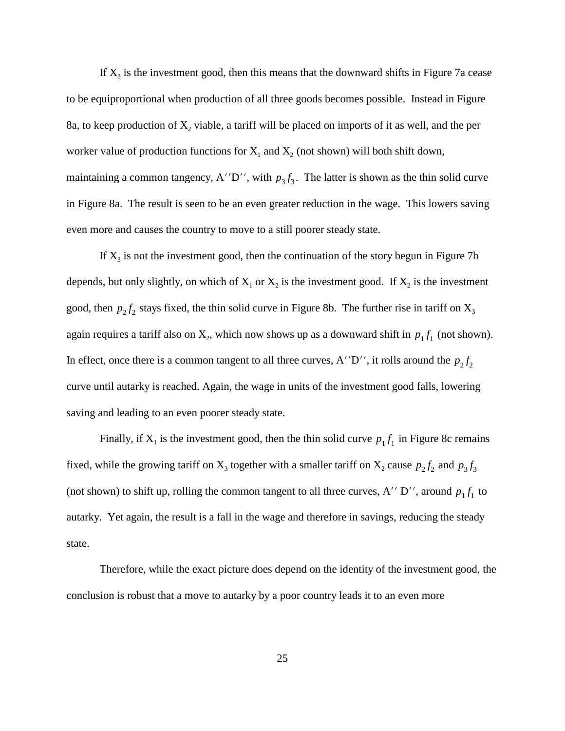maintaining a common tangency, A''D'', with  $p_3 f_3$ . The latter is shown as the thin solid curve If  $X_3$  is the investment good, then this means that the downward shifts in Figure 7a cease to be equiproportional when production of all three goods becomes possible. Instead in Figure 8a, to keep production of  $X_2$  viable, a tariff will be placed on imports of it as well, and the per worker value of production functions for  $X_1$  and  $X_2$  (not shown) will both shift down, in Figure 8a. The result is seen to be an even greater reduction in the wage. This lowers saving even more and causes the country to move to a still poorer steady state.

good, then  $p_2 f_2$  stays fixed, the thin solid curve in Figure 8b. The further rise in tariff on  $X_3$ again requires a tariff also on  $X_2$ , which now shows up as a downward shift in  $p_1 f_1$  (not shown). In effect, once there is a common tangent to all three curves, A''D'', it rolls around the  $p_2 f_2$ If  $X_3$  is not the investment good, then the continuation of the story begun in Figure 7b depends, but only slightly, on which of  $X_1$  or  $X_2$  is the investment good. If  $X_2$  is the investment curve until autarky is reached. Again, the wage in units of the investment good falls, lowering saving and leading to an even poorer steady state.

Finally, if  $X_1$  is the investment good, then the thin solid curve  $p_1 f_1$  in Figure 8c remains fixed, while the growing tariff on  $X_3$  together with a smaller tariff on  $X_2$  cause  $p_2 f_2$  and  $p_3 f_3$ (not shown) to shift up, rolling the common tangent to all three curves, A'' D'', around  $p_1 f_1$  to autarky. Yet again, the result is a fall in the wage and therefore in savings, reducing the steady state.

Therefore, while the exact picture does depend on the identity of the investment good, the conclusion is robust that a move to autarky by a poor country leads it to an even more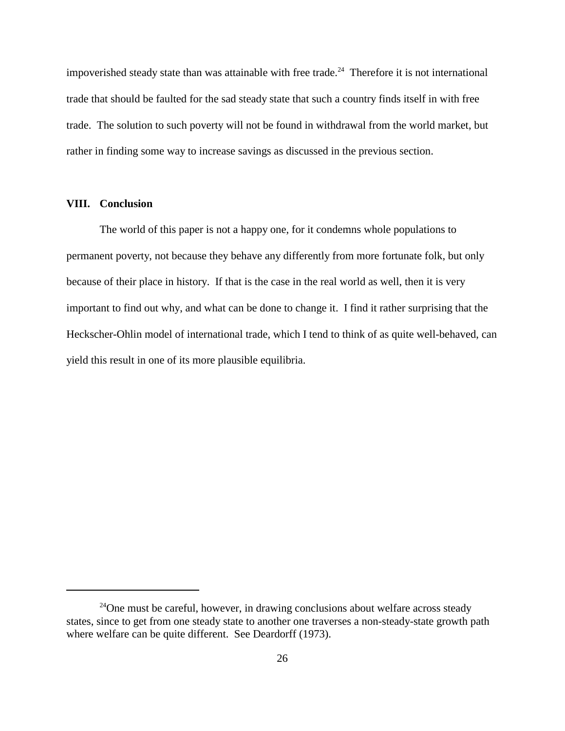impoverished steady state than was attainable with free trade.<sup>24</sup> Therefore it is not international trade that should be faulted for the sad steady state that such a country finds itself in with free trade. The solution to such poverty will not be found in withdrawal from the world market, but rather in finding some way to increase savings as discussed in the previous section.

#### **VIII. Conclusion**

The world of this paper is not a happy one, for it condemns whole populations to permanent poverty, not because they behave any differently from more fortunate folk, but only because of their place in history. If that is the case in the real world as well, then it is very important to find out why, and what can be done to change it. I find it rather surprising that the Heckscher-Ohlin model of international trade, which I tend to think of as quite well-behaved, can yield this result in one of its more plausible equilibria.

 $24$ One must be careful, however, in drawing conclusions about welfare across steady states, since to get from one steady state to another one traverses a non-steady-state growth path where welfare can be quite different. See Deardorff (1973).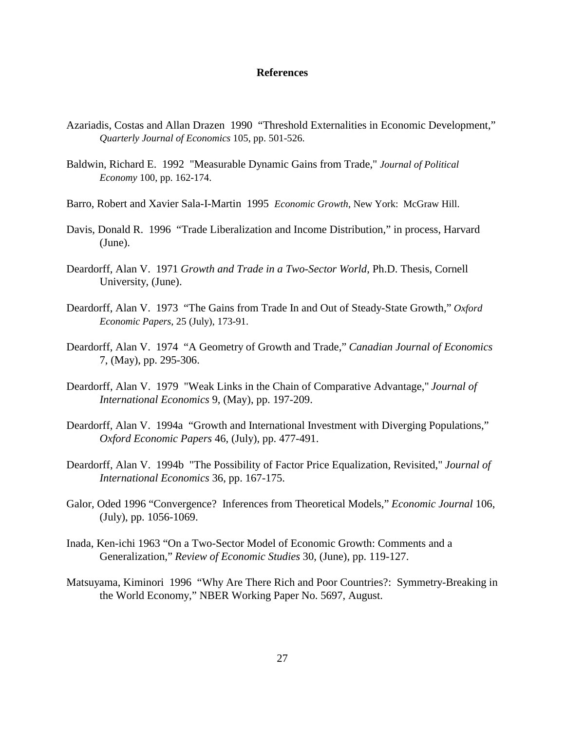#### **References**

- Azariadis, Costas and Allan Drazen 1990 "Threshold Externalities in Economic Development," *Quarterly Journal of Economics* 105, pp. 501-526.
- Baldwin, Richard E. 1992 "Measurable Dynamic Gains from Trade," *Journal of Political Economy* 100, pp. 162-174.
- Barro, Robert and Xavier Sala-I-Martin 1995 *Economic Growth*, New York: McGraw Hill.
- Davis, Donald R. 1996 "Trade Liberalization and Income Distribution," in process, Harvard (June).
- Deardorff, Alan V. 1971 *Growth and Trade in a Two-Sector World*, Ph.D. Thesis, Cornell University, (June).
- Deardorff, Alan V. 1973 "The Gains from Trade In and Out of Steady-State Growth," *Oxford Economic Papers*, 25 (July), 173-91.
- Deardorff, Alan V. 1974 "A Geometry of Growth and Trade," *Canadian Journal of Economics* 7, (May), pp. 295-306.
- Deardorff, Alan V. 1979 "Weak Links in the Chain of Comparative Advantage," *Journal of International Economics* 9, (May), pp. 197-209.
- Deardorff, Alan V. 1994a "Growth and International Investment with Diverging Populations," *Oxford Economic Papers* 46, (July), pp. 477-491.
- Deardorff, Alan V. 1994b "The Possibility of Factor Price Equalization, Revisited," *Journal of International Economics* 36, pp. 167-175.
- Galor, Oded 1996 "Convergence? Inferences from Theoretical Models," *Economic Journal* 106, (July), pp. 1056-1069.
- Inada, Ken-ichi 1963 "On a Two-Sector Model of Economic Growth: Comments and a Generalization," *Review of Economic Studies* 30, (June), pp. 119-127.
- Matsuyama, Kiminori 1996 "Why Are There Rich and Poor Countries?: Symmetry-Breaking in the World Economy," NBER Working Paper No. 5697, August.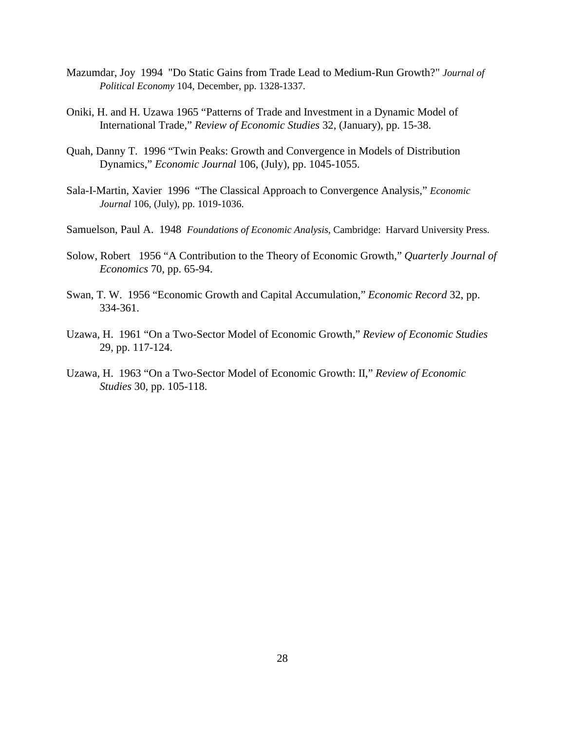- Mazumdar, Joy 1994 "Do Static Gains from Trade Lead to Medium-Run Growth?" *Journal of Political Economy* 104, December, pp. 1328-1337.
- Oniki, H. and H. Uzawa 1965 "Patterns of Trade and Investment in a Dynamic Model of International Trade," *Review of Economic Studies* 32, (January), pp. 15-38.
- Quah, Danny T. 1996 "Twin Peaks: Growth and Convergence in Models of Distribution Dynamics," *Economic Journal* 106, (July), pp. 1045-1055.
- Sala-I-Martin, Xavier 1996 "The Classical Approach to Convergence Analysis," *Economic Journal* 106, (July), pp. 1019-1036.
- Samuelson, Paul A. 1948 *Foundations of Economic Analysis*, Cambridge: Harvard University Press.
- Solow, Robert 1956 "A Contribution to the Theory of Economic Growth," *Quarterly Journal of Economics* 70, pp. 65-94.
- Swan, T. W. 1956 "Economic Growth and Capital Accumulation," *Economic Record* 32, pp. 334-361.
- Uzawa, H. 1961 "On a Two-Sector Model of Economic Growth," *Review of Economic Studies* 29, pp. 117-124.
- Uzawa, H. 1963 "On a Two-Sector Model of Economic Growth: II," *Review of Economic Studies* 30, pp. 105-118.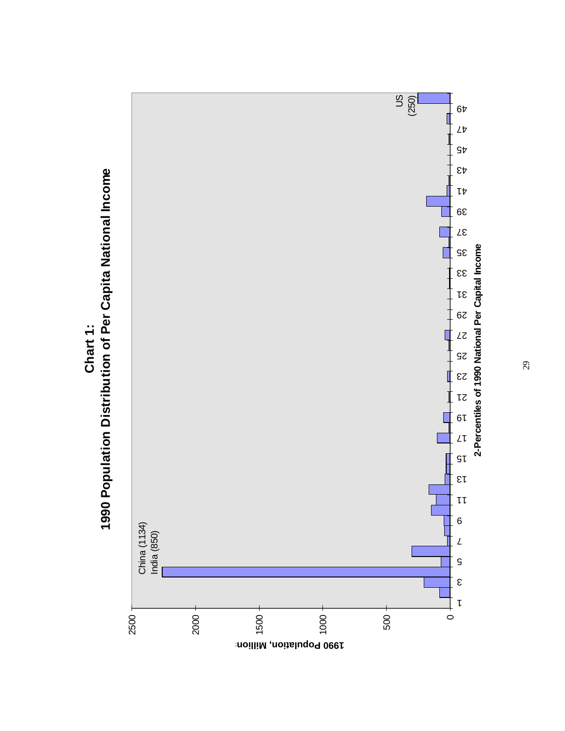

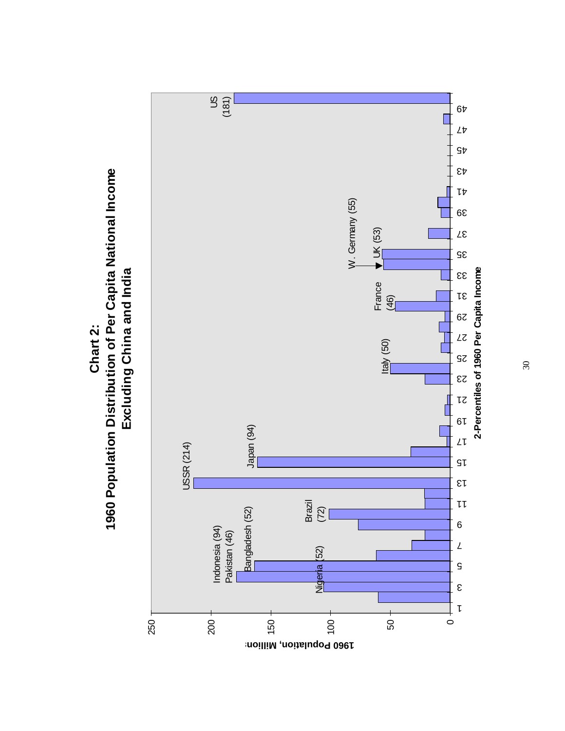

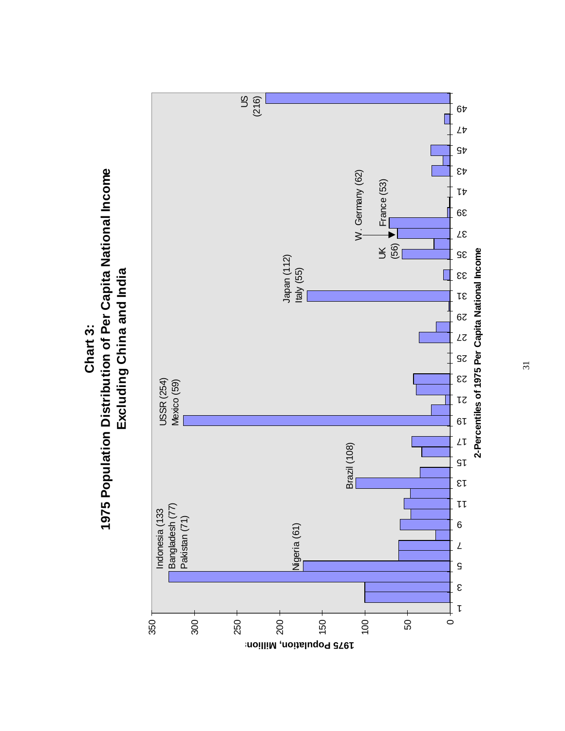

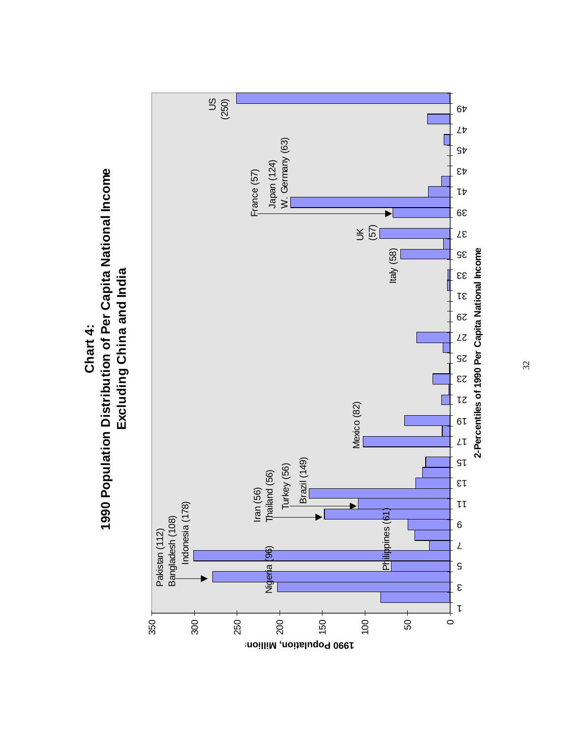

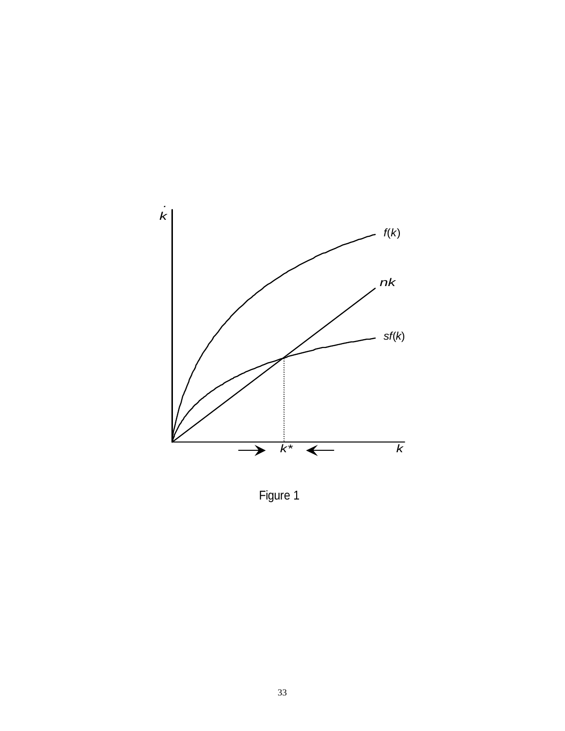

Figure 1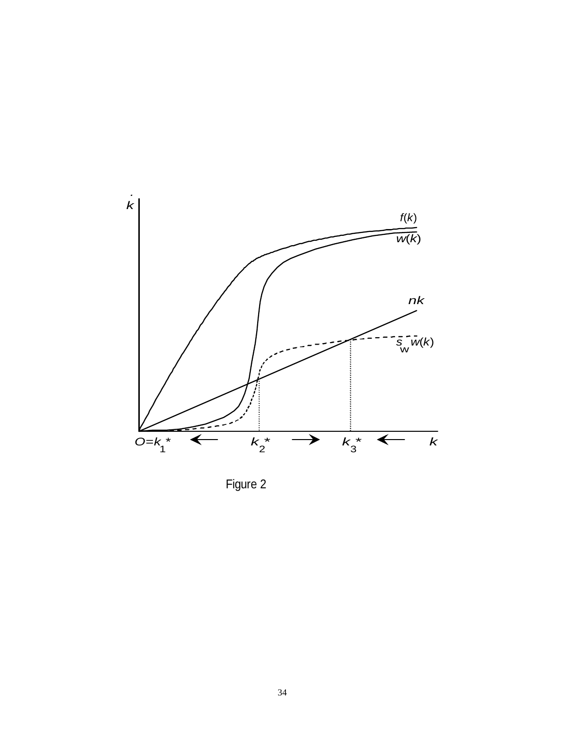

Figure 2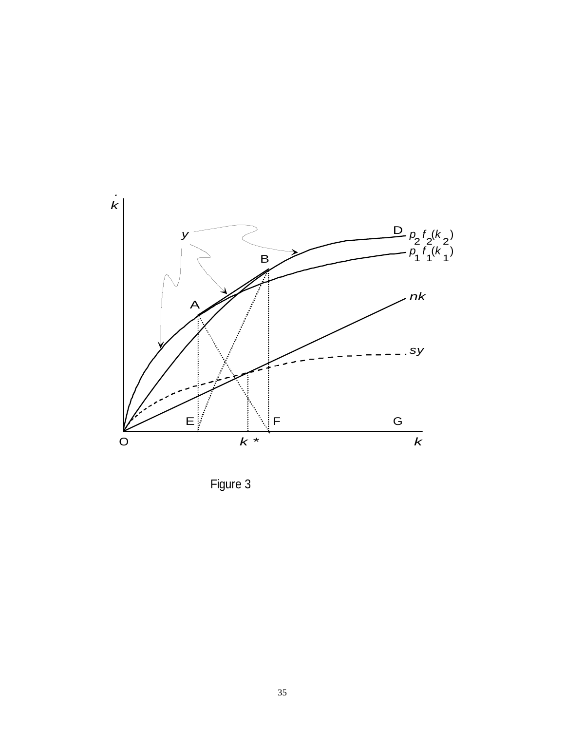

Figure 3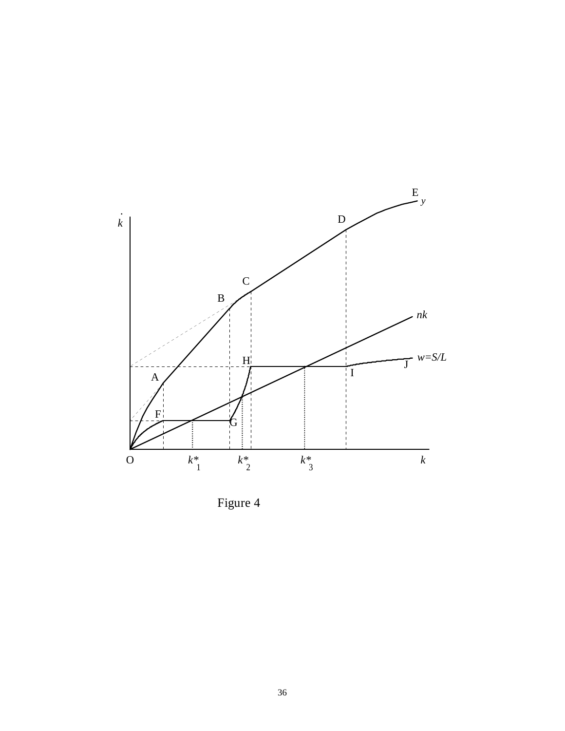

Figure 4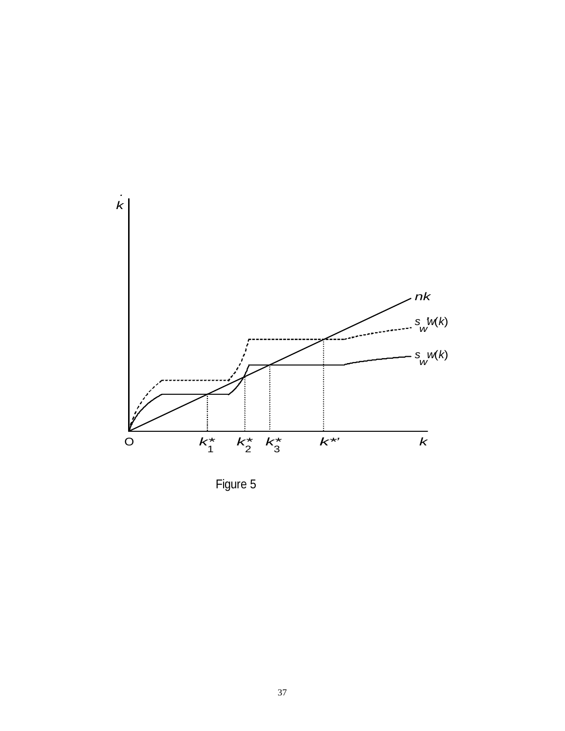

Figure 5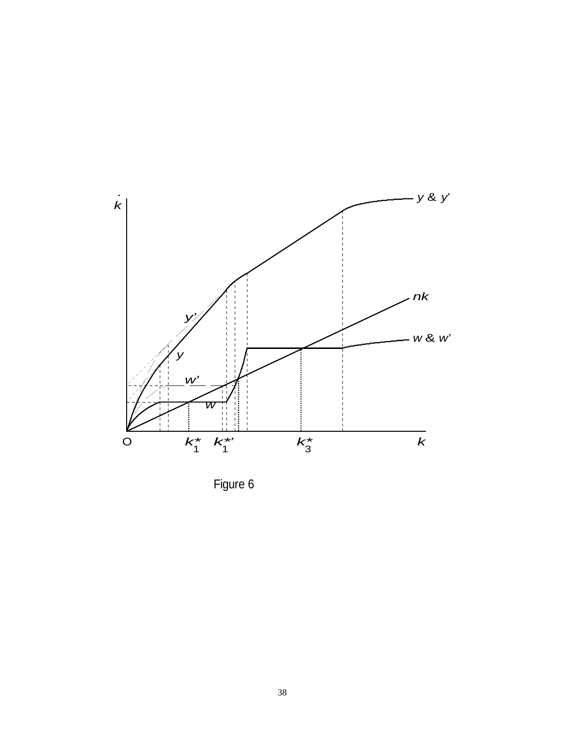

Figure 6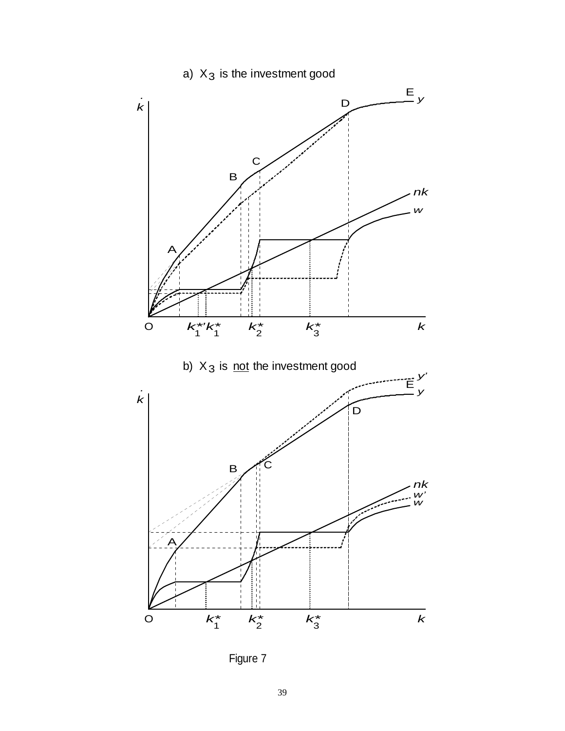# a)  $X_3$  is the investment good



Figure 7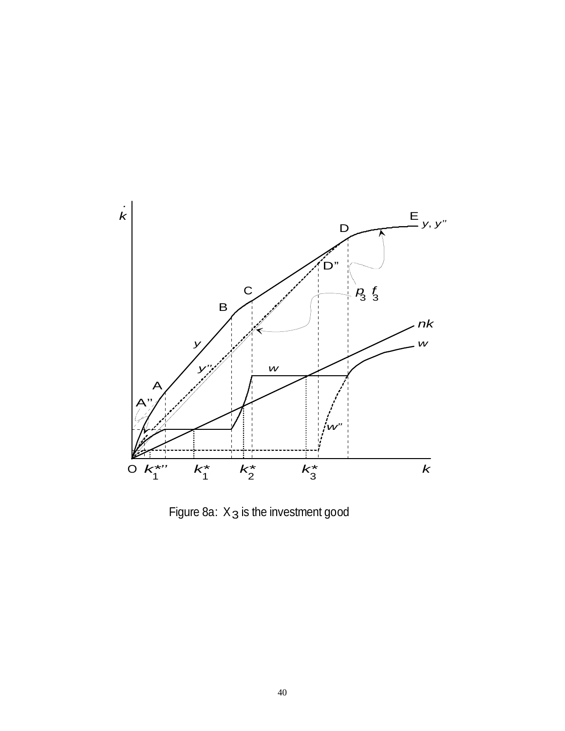

Figure 8a:  $X_3$  is the investment good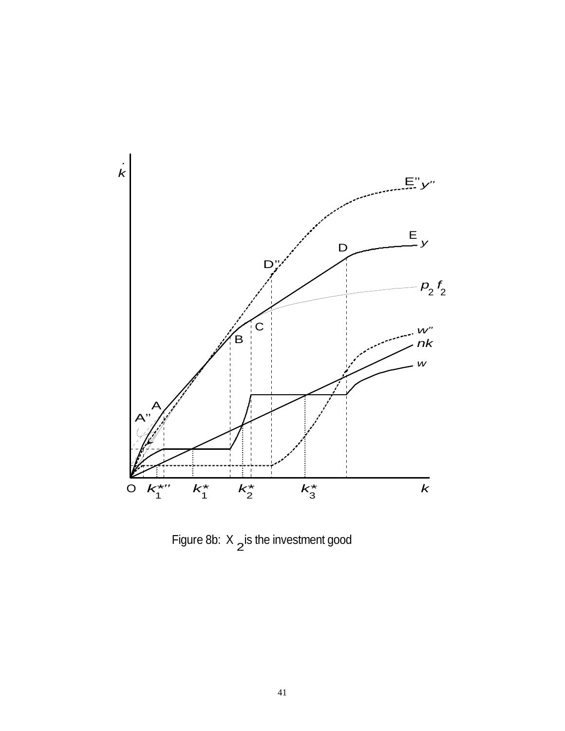

Figure 8b:  $X_2$  is the investment good